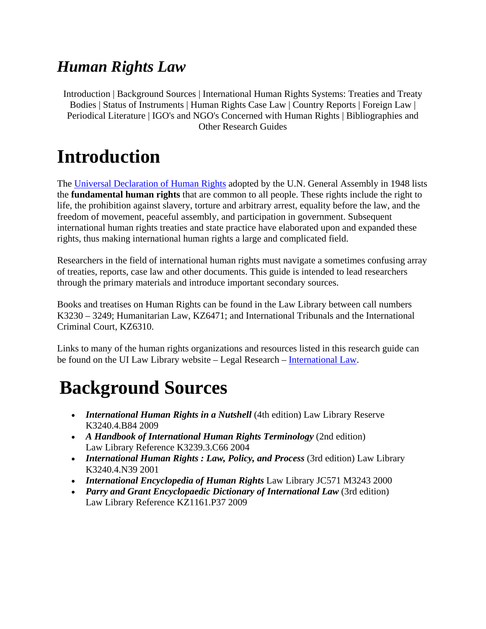### *Human Rights Law*

Introduction | Background Sources | International Human Rights Systems: Treaties and Treaty Bodies | Status of Instruments | Human Rights Case Law | Country Reports | Foreign Law | Periodical Literature | IGO's and NGO's Concerned with Human Rights | Bibliographies and Other Research Guides

## **Introduction**

The Universal Declaration of Human Rights adopted by the U.N. General Assembly in 1948 lists the **fundamental human rights** that are common to all people. These rights include the right to life, the prohibition against slavery, torture and arbitrary arrest, equality before the law, and the freedom of movement, peaceful assembly, and participation in government. Subsequent international human rights treaties and state practice have elaborated upon and expanded these rights, thus making international human rights a large and complicated field.

Researchers in the field of international human rights must navigate a sometimes confusing array of treaties, reports, case law and other documents. This guide is intended to lead researchers through the primary materials and introduce important secondary sources.

Books and treatises on Human Rights can be found in the Law Library between call numbers K3230 – 3249; Humanitarian Law, KZ6471; and International Tribunals and the International Criminal Court, KZ6310.

Links to many of the human rights organizations and resources listed in this research guide can be found on the UI Law Library website – Legal Research – International Law.

## **Background Sources**

- *International Human Rights in a Nutshell* (4th edition) Law Library Reserve K3240.4.B84 2009
- *A Handbook of International Human Rights Terminology* (2nd edition) Law Library Reference K3239.3.C66 2004
- *International Human Rights : Law, Policy, and Process* (3rd edition) Law Library K3240.4.N39 2001
- *International Encyclopedia of Human Rights* Law Library JC571 M3243 2000
- *Parry and Grant Encyclopaedic Dictionary of International Law* (3rd edition) Law Library Reference KZ1161.P37 2009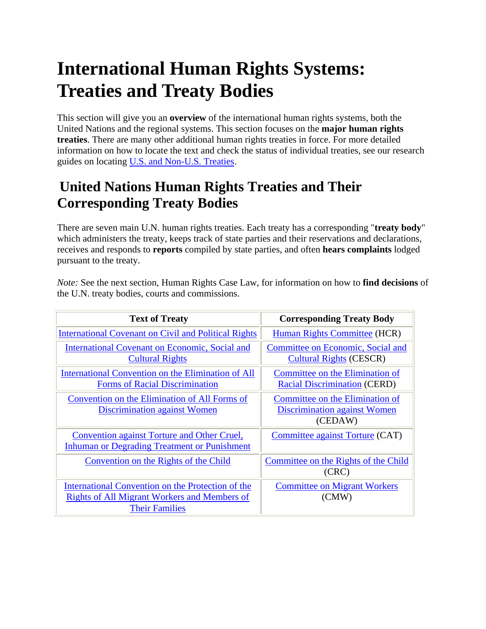## **International Human Rights Systems: Treaties and Treaty Bodies**

This section will give you an **overview** of the international human rights systems, both the United Nations and the regional systems. This section focuses on the **major human rights treaties**. There are many other additional human rights treaties in force. For more detailed information on how to locate the text and check the status of individual treaties, see our research guides on locating U.S. and Non-U.S. Treaties.

### **United Nations Human Rights Treaties and Their Corresponding Treaty Bodies**

There are seven main U.N. human rights treaties. Each treaty has a corresponding "**treaty body**" which administers the treaty, keeps track of state parties and their reservations and declarations, receives and responds to **reports** compiled by state parties, and often **hears complaints** lodged pursuant to the treaty.

*Note:* See the next section, Human Rights Case Law, for information on how to **find decisions** of the U.N. treaty bodies, courts and commissions.

| <b>Text of Treaty</b>                                                                                                             | <b>Corresponding Treaty Body</b>                                                  |
|-----------------------------------------------------------------------------------------------------------------------------------|-----------------------------------------------------------------------------------|
| <b>International Covenant on Civil and Political Rights</b>                                                                       | Human Rights Committee (HCR)                                                      |
| <b>International Covenant on Economic, Social and</b><br><b>Cultural Rights</b>                                                   | Committee on Economic, Social and<br><b>Cultural Rights (CESCR)</b>               |
| International Convention on the Elimination of All<br><b>Forms of Racial Discrimination</b>                                       | Committee on the Elimination of<br><b>Racial Discrimination (CERD)</b>            |
| Convention on the Elimination of All Forms of<br>Discrimination against Women                                                     | Committee on the Elimination of<br><b>Discrimination against Women</b><br>(CEDAW) |
| Convention against Torture and Other Cruel,<br><b>Inhuman or Degrading Treatment or Punishment</b>                                | Committee against Torture (CAT)                                                   |
| Convention on the Rights of the Child                                                                                             | Committee on the Rights of the Child<br>(CRC)                                     |
| International Convention on the Protection of the<br><b>Rights of All Migrant Workers and Members of</b><br><b>Their Families</b> | <b>Committee on Migrant Workers</b><br>(CMW)                                      |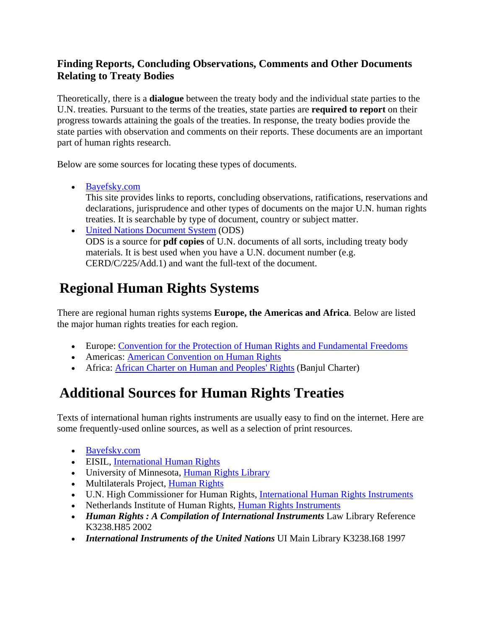#### **Finding Reports, Concluding Observations, Comments and Other Documents Relating to Treaty Bodies**

Theoretically, there is a **dialogue** between the treaty body and the individual state parties to the U.N. treaties. Pursuant to the terms of the treaties, state parties are **required to report** on their progress towards attaining the goals of the treaties. In response, the treaty bodies provide the state parties with observation and comments on their reports. These documents are an important part of human rights research.

Below are some sources for locating these types of documents.

• Bayefsky.com

This site provides links to reports, concluding observations, ratifications, reservations and declarations, jurisprudence and other types of documents on the major U.N. human rights treaties. It is searchable by type of document, country or subject matter.

• United Nations Document System (ODS) ODS is a source for **pdf copies** of U.N. documents of all sorts, including treaty body materials. It is best used when you have a U.N. document number (e.g. CERD/C/225/Add.1) and want the full-text of the document.

### **Regional Human Rights Systems**

There are regional human rights systems **Europe, the Americas and Africa**. Below are listed the major human rights treaties for each region.

- Europe: Convention for the Protection of Human Rights and Fundamental Freedoms
- Americas: American Convention on Human Rights
- Africa: African Charter on Human and Peoples' Rights (Banjul Charter)

### **Additional Sources for Human Rights Treaties**

Texts of international human rights instruments are usually easy to find on the internet. Here are some frequently-used online sources, as well as a selection of print resources.

- Bayefsky.com
- EISIL, International Human Rights
- University of Minnesota, Human Rights Library
- Multilaterals Project, Human Rights
- U.N. High Commissioner for Human Rights, International Human Rights Instruments
- Netherlands Institute of Human Rights, Human Rights Instruments
- *Human Rights : A Compilation of International Instruments* Law Library Reference K3238.H85 2002
- *International Instruments of the United Nations* UI Main Library K3238.I68 1997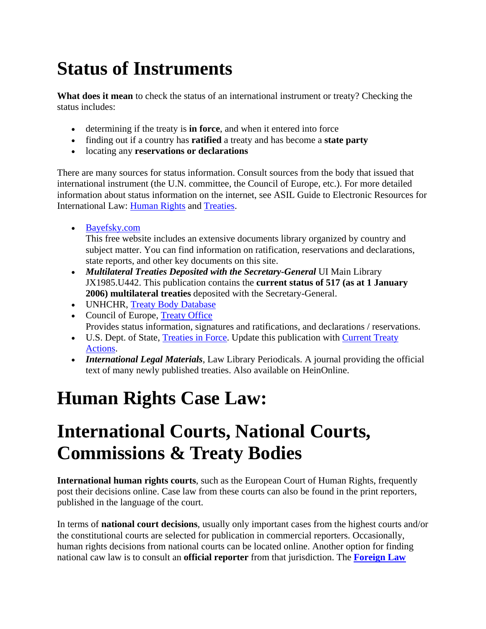# **Status of Instruments**

**What does it mean** to check the status of an international instrument or treaty? Checking the status includes:

- determining if the treaty is **in force**, and when it entered into force
- finding out if a country has **ratified** a treaty and has become a **state party**
- locating any **reservations or declarations**

There are many sources for status information. Consult sources from the body that issued that international instrument (the U.N. committee, the Council of Europe, etc.). For more detailed information about status information on the internet, see ASIL Guide to Electronic Resources for International Law: Human Rights and Treaties.

• Bayefsky.com

This free website includes an extensive documents library organized by country and subject matter. You can find information on ratification, reservations and declarations, state reports, and other key documents on this site.

- *Multilateral Treaties Deposited with the Secretary-General UI Main Library* JX1985.U442. This publication contains the **current status of 517 (as at 1 January 2006) multilateral treaties** deposited with the Secretary-General.
- UNHCHR, Treaty Body Database
- Council of Europe, Treaty Office Provides status information, signatures and ratifications, and declarations / reservations.
- U.S. Dept. of State, Treaties in Force. Update this publication with Current Treaty Actions.
- *International Legal Materials*, Law Library Periodicals. A journal providing the official text of many newly published treaties. Also available on HeinOnline.

# **Human Rights Case Law:**

## **International Courts, National Courts, Commissions & Treaty Bodies**

**International human rights courts**, such as the European Court of Human Rights, frequently post their decisions online. Case law from these courts can also be found in the print reporters, published in the language of the court.

In terms of **national court decisions**, usually only important cases from the highest courts and/or the constitutional courts are selected for publication in commercial reporters. Occasionally, human rights decisions from national courts can be located online. Another option for finding national caw law is to consult an **official reporter** from that jurisdiction. The **Foreign Law**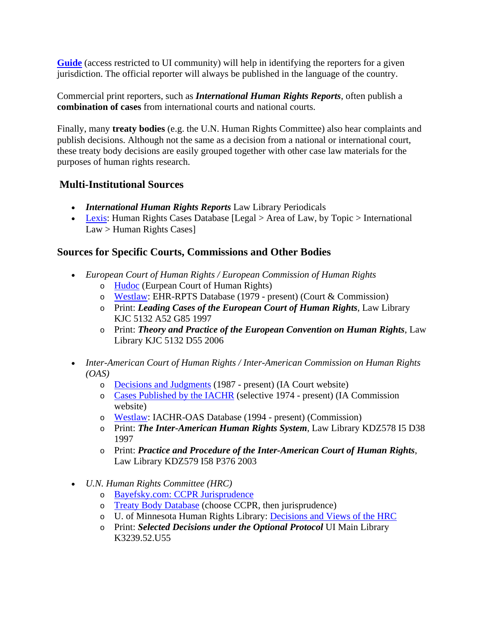**Guide** (access restricted to UI community) will help in identifying the reporters for a given jurisdiction. The official reporter will always be published in the language of the country.

Commercial print reporters, such as *International Human Rights Reports*, often publish a **combination of cases** from international courts and national courts.

Finally, many **treaty bodies** (e.g. the U.N. Human Rights Committee) also hear complaints and publish decisions. Although not the same as a decision from a national or international court, these treaty body decisions are easily grouped together with other case law materials for the purposes of human rights research.

#### **Multi-Institutional Sources**

- *International Human Rights Reports* Law Library Periodicals
- Lexis: Human Rights Cases Database [Legal > Area of Law, by Topic > International Law > Human Rights Cases]

#### **Sources for Specific Courts, Commissions and Other Bodies**

- *European Court of Human Rights / European Commission of Human Rights*
	- o Hudoc (Eurpean Court of Human Rights)
	- o Westlaw: EHR-RPTS Database (1979 present) (Court & Commission)
	- o Print: *Leading Cases of the European Court of Human Rights*, Law Library KJC 5132 A52 G85 1997
	- o Print: *Theory and Practice of the European Convention on Human Rights*, Law Library KJC 5132 D55 2006
- *Inter-American Court of Human Rights / Inter-American Commission on Human Rights (OAS)* 
	- o Decisions and Judgments (1987 present) (IA Court website)
	- o Cases Published by the IACHR (selective 1974 present) (IA Commission website)
	- o Westlaw: IACHR-OAS Database (1994 present) (Commission)
	- o Print: *The Inter-American Human Rights System*, Law Library KDZ578 I5 D38 1997
	- o Print: *Practice and Procedure of the Inter-American Court of Human Rights*, Law Library KDZ579 I58 P376 2003
- *U.N. Human Rights Committee (HRC)*
	- o Bayefsky.com: CCPR Jurisprudence
	- o Treaty Body Database (choose CCPR, then jurisprudence)
	- o U. of Minnesota Human Rights Library: Decisions and Views of the HRC
	- o Print: *Selected Decisions under the Optional Protocol* UI Main Library K3239.52.U55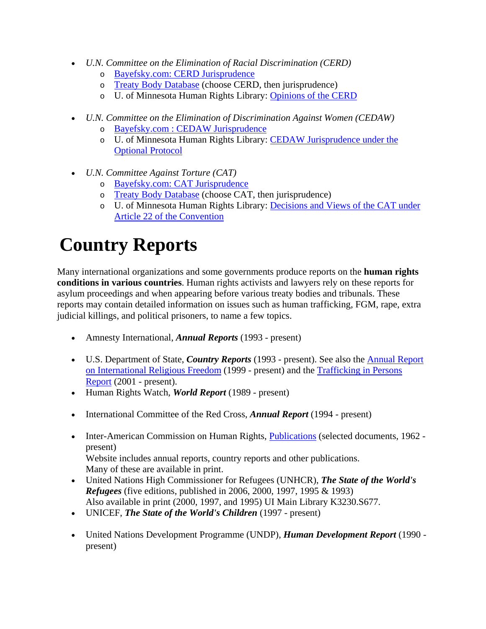- *U.N. Committee on the Elimination of Racial Discrimination (CERD)*
	- o Bayefsky.com: CERD Jurisprudence
	- o Treaty Body Database (choose CERD, then jurisprudence)
	- o U. of Minnesota Human Rights Library: Opinions of the CERD
- *U.N. Committee on the Elimination of Discrimination Against Women (CEDAW)*
	- o Bayefsky.com : CEDAW Jurisprudence
	- o U. of Minnesota Human Rights Library: CEDAW Jurisprudence under the Optional Protocol
- *U.N. Committee Against Torture (CAT)*
	- o Bayefsky.com: CAT Jurisprudence
	- o Treaty Body Database (choose CAT, then jurisprudence)
	- o U. of Minnesota Human Rights Library: Decisions and Views of the CAT under Article 22 of the Convention

## **Country Reports**

Many international organizations and some governments produce reports on the **human rights conditions in various countries**. Human rights activists and lawyers rely on these reports for asylum proceedings and when appearing before various treaty bodies and tribunals. These reports may contain detailed information on issues such as human trafficking, FGM, rape, extra judicial killings, and political prisoners, to name a few topics.

- Amnesty International, *Annual Reports* (1993 present)
- U.S. Department of State, *Country Reports* (1993 present). See also the Annual Report on International Religious Freedom (1999 - present) and the Trafficking in Persons Report (2001 - present).
- Human Rights Watch, *World Report* (1989 present)
- International Committee of the Red Cross, *Annual Report* (1994 present)
- Inter-American Commission on Human Rights, Publications (selected documents, 1962 present) Website includes annual reports, country reports and other publications. Many of these are available in print.
- United Nations High Commissioner for Refugees (UNHCR), *The State of the World's Refugees* (five editions, published in 2006, 2000, 1997, 1995 & 1993) Also available in print (2000, 1997, and 1995) UI Main Library K3230.S677.
- UNICEF, *The State of the World's Children* (1997 present)
- United Nations Development Programme (UNDP), *Human Development Report* (1990 present)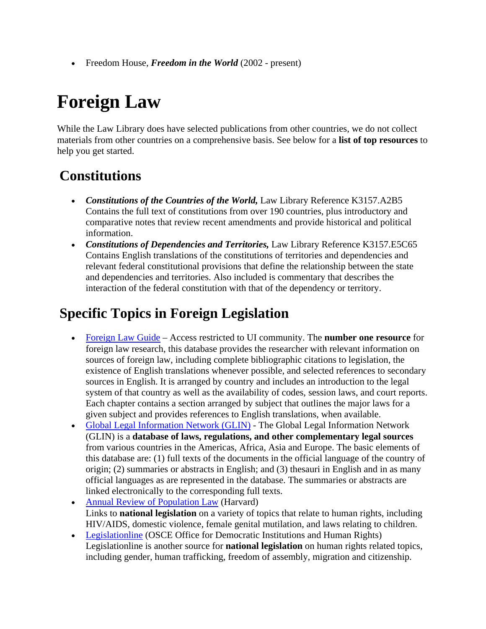• Freedom House, *Freedom in the World* (2002 - present)

# **Foreign Law**

While the Law Library does have selected publications from other countries, we do not collect materials from other countries on a comprehensive basis. See below for a **list of top resources** to help you get started.

### **Constitutions**

- *Constitutions of the Countries of the World,* Law Library Reference K3157.A2B5 Contains the full text of constitutions from over 190 countries, plus introductory and comparative notes that review recent amendments and provide historical and political information.
- *Constitutions of Dependencies and Territories,* Law Library Reference K3157.E5C65 Contains English translations of the constitutions of territories and dependencies and relevant federal constitutional provisions that define the relationship between the state and dependencies and territories. Also included is commentary that describes the interaction of the federal constitution with that of the dependency or territory.

### **Specific Topics in Foreign Legislation**

- Foreign Law Guide Access restricted to UI community. The **number one resource** for foreign law research, this database provides the researcher with relevant information on sources of foreign law, including complete bibliographic citations to legislation, the existence of English translations whenever possible, and selected references to secondary sources in English. It is arranged by country and includes an introduction to the legal system of that country as well as the availability of codes, session laws, and court reports. Each chapter contains a section arranged by subject that outlines the major laws for a given subject and provides references to English translations, when available.
- Global Legal Information Network (GLIN) The Global Legal Information Network (GLIN) is a **database of laws, regulations, and other complementary legal sources** from various countries in the Americas, Africa, Asia and Europe. The basic elements of this database are: (1) full texts of the documents in the official language of the country of origin; (2) summaries or abstracts in English; and (3) thesauri in English and in as many official languages as are represented in the database. The summaries or abstracts are linked electronically to the corresponding full texts.
- Annual Review of Population Law (Harvard) Links to **national legislation** on a variety of topics that relate to human rights, including HIV/AIDS, domestic violence, female genital mutilation, and laws relating to children.
- Legislationline (OSCE Office for Democratic Institutions and Human Rights) Legislationline is another source for **national legislation** on human rights related topics, including gender, human trafficking, freedom of assembly, migration and citizenship.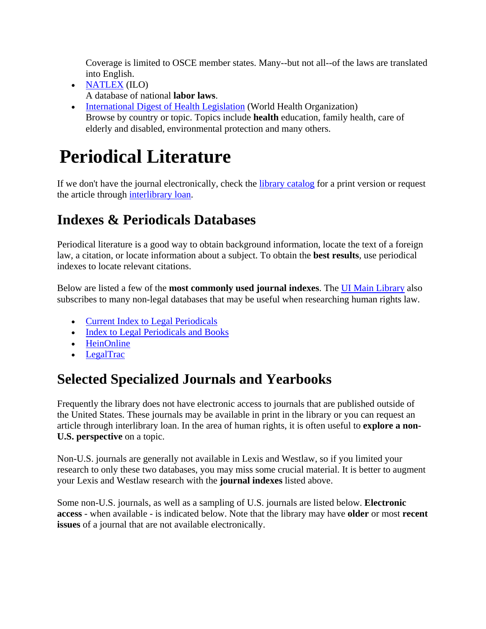Coverage is limited to OSCE member states. Many--but not all--of the laws are translated into English.

- NATLEX (ILO) A database of national **labor laws**.
- International Digest of Health Legislation (World Health Organization) Browse by country or topic. Topics include **health** education, family health, care of elderly and disabled, environmental protection and many others.

# **Periodical Literature**

If we don't have the journal electronically, check the library catalog for a print version or request the article through interlibrary loan.

### **Indexes & Periodicals Databases**

Periodical literature is a good way to obtain background information, locate the text of a foreign law, a citation, or locate information about a subject. To obtain the **best results**, use periodical indexes to locate relevant citations.

Below are listed a few of the **most commonly used journal indexes**. The UI Main Library also subscribes to many non-legal databases that may be useful when researching human rights law.

- Current Index to Legal Periodicals
- Index to Legal Periodicals and Books
- HeinOnline
- LegalTrac

### **Selected Specialized Journals and Yearbooks**

Frequently the library does not have electronic access to journals that are published outside of the United States. These journals may be available in print in the library or you can request an article through interlibrary loan. In the area of human rights, it is often useful to **explore a non-U.S. perspective** on a topic.

Non-U.S. journals are generally not available in Lexis and Westlaw, so if you limited your research to only these two databases, you may miss some crucial material. It is better to augment your Lexis and Westlaw research with the **journal indexes** listed above.

Some non-U.S. journals, as well as a sampling of U.S. journals are listed below. **Electronic access** - when available - is indicated below. Note that the library may have **older** or most **recent issues** of a journal that are not available electronically.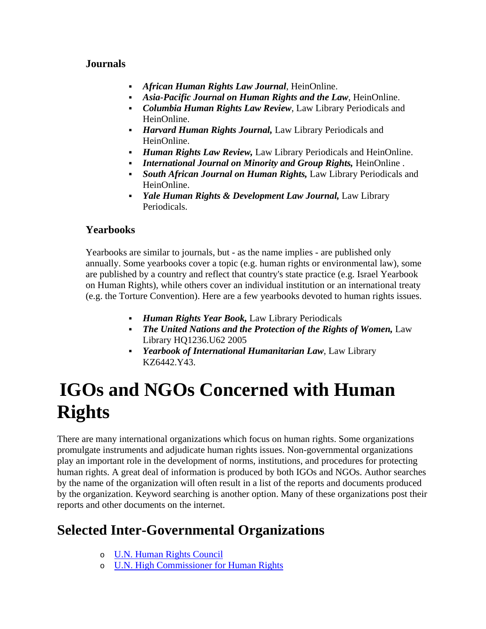#### **Journals**

- *African Human Rights Law Journal*, HeinOnline.
- *Asia-Pacific Journal on Human Rights and the Law*, HeinOnline.
- *Columbia Human Rights Law Review*, Law Library Periodicals and HeinOnline.
- *Harvard Human Rights Journal,* Law Library Periodicals and HeinOnline.
- *Human Rights Law Review,* Law Library Periodicals and HeinOnline.
- *International Journal on Minority and Group Rights,* HeinOnline .
- *South African Journal on Human Rights,* Law Library Periodicals and HeinOnline.
- *Yale Human Rights & Development Law Journal,* Law Library Periodicals.

#### **Yearbooks**

Yearbooks are similar to journals, but - as the name implies - are published only annually. Some yearbooks cover a topic (e.g. human rights or environmental law), some are published by a country and reflect that country's state practice (e.g. Israel Yearbook on Human Rights), while others cover an individual institution or an international treaty (e.g. the Torture Convention). Here are a few yearbooks devoted to human rights issues.

- *Human Rights Year Book,* Law Library Periodicals
- *The United Nations and the Protection of the Rights of Women,* Law Library HQ1236.U62 2005
- *Yearbook of International Humanitarian Law*, Law Library KZ6442.Y43.

# **IGOs and NGOs Concerned with Human Rights**

There are many international organizations which focus on human rights. Some organizations promulgate instruments and adjudicate human rights issues. Non-governmental organizations play an important role in the development of norms, institutions, and procedures for protecting human rights. A great deal of information is produced by both IGOs and NGOs. Author searches by the name of the organization will often result in a list of the reports and documents produced by the organization. Keyword searching is another option. Many of these organizations post their reports and other documents on the internet.

### **Selected Inter-Governmental Organizations**

- o U.N. Human Rights Council
- o U.N. High Commissioner for Human Rights